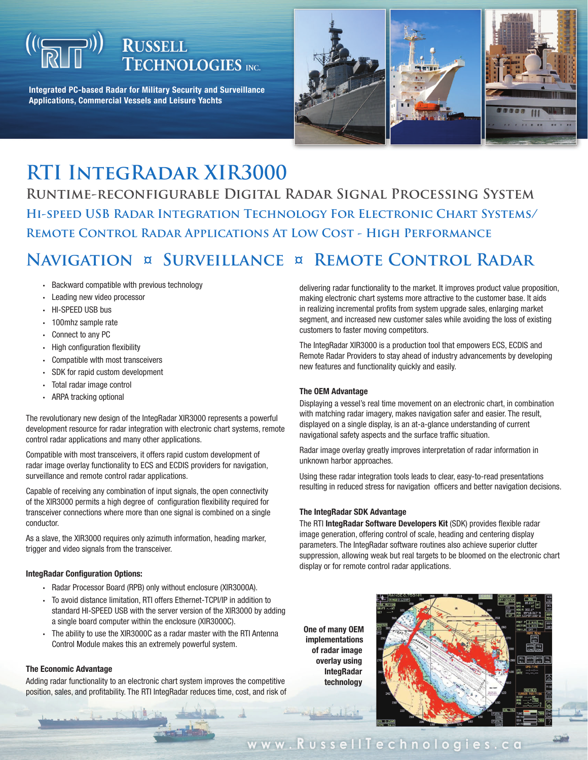# **RUSSELL<br>TECHNOLOGIES** INC.

**Integrated PC-based Radar for Military Security and Surveillance Applications, Commercial Vessels and Leisure Yachts**



## **RTI IntegRadar XIR3000**

**Runtime-reconfigurable Digital Radar Signal Processing System Hi-speed USB Radar Integration Technology For Electronic Chart Systems/ Remote Control Radar Applications At Low Cost - High Performance**

## **Navigation ¤ Surveillance ¤ Remote Control Radar**

- Backward compatible with previous technology
- Leading new video processor •
- HI-SPEED USB bus
- 100mhz sample rate
- Connect to any PC
- High configuration flexibility
- Compatible wlth most transceivers •
- SDK for rapid custom development •
- Total radar image control •
- ARPA tracking optional

The revolutionary new design of the IntegRadar XIR3000 represents a powerful development resource for radar integration with electronic chart systems, remote control radar applications and many other applications.

Compatible with most transceivers, it offers rapid custom development of radar image overlay functionality to ECS and ECDIS providers for navigation, surveillance and remote control radar applications.

Capable of receiving any combination of input signals, the open connectivity of the XIR3000 permits a high degree of configuration flexibility required for transceiver connections where more than one signal is combined on a single conductor.

As a slave, the XIR3000 requires only azimuth information, heading marker, trigger and video signals from the transceiver.

#### **IntegRadar Configuration Options:**

- Radar Processor Board (RPB) only without enclosure (XIR3000A).
- To avoid distance limitation, RTI offers Ethernet-TCPI/IP in addition to standard HI-SPEED USB with the server version of the XIR3000 by adding a single board computer within the enclosure (XIR3000C).
- The ability to use the XIR3000C as a radar master with the RTI Antenna Control Module makes this an extremely powerful system. •

#### **The Economic Advantage**

Adding radar functionality to an electronic chart system improves the competitive position, sales, and profitability. The RTI IntegRadar reduces time, cost, and risk of

delivering radar functionality to the market. It improves product value proposition, making electronic chart systems more attractive to the customer base. It aids in realizing incremental profits from system upgrade sales, enlarging market segment, and increased new customer sales while avoiding the loss of existing customers to faster moving competitors.

The IntegRadar XIR3000 is a production tool that empowers ECS, ECDIS and Remote Radar Providers to stay ahead of industry advancements by developing new features and functionality quickly and easily.

#### **The OEM Advantage**

Displaying a vessel's real time movement on an electronic chart, in combination with matching radar imagery, makes navigation safer and easier. The result, displayed on a single display, is an at-a-glance understanding of current navigational safety aspects and the surface traffic situation.

Radar image overlay greatly improves interpretation of radar information in unknown harbor approaches.

Using these radar integration tools leads to clear, easy-to-read presentations resulting in reduced stress for navigation officers and better navigation decisions.

#### **The IntegRadar SDK Advantage**

The RTI **IntegRadar Software Developers Kit** (SDK) provides flexible radar image generation, offering control of scale, heading and centering display parameters. The IntegRadar software routines also achieve superior clutter suppression, allowing weak but real targets to be bloomed on the electronic chart display or for remote control radar applications.

 **One of many OEM implementations of radar image overlay using IntegRadar technology**



www.RussellTechnologies.ca